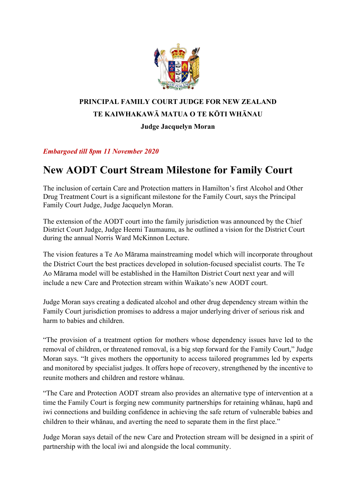

## **PRINCIPAL FAMILY COURT JUDGE FOR NEW ZEALAND TE KAIWHAKAWĀ MATUA O TE KŌTI WHĀNAU**

## **Judge Jacquelyn Moran**

## *Embargoed till 8pm 11 November 2020*

## **New AODT Court Stream Milestone for Family Court**

The inclusion of certain Care and Protection matters in Hamilton's first Alcohol and Other Drug Treatment Court is a significant milestone for the Family Court, says the Principal Family Court Judge, Judge Jacquelyn Moran.

The extension of the AODT court into the family jurisdiction was announced by the Chief District Court Judge, Judge Heemi Taumaunu, as he outlined a vision for the District Court during the annual Norris Ward McKinnon Lecture.

The vision features a Te Ao Mārama mainstreaming model which will incorporate throughout the District Court the best practices developed in solution-focused specialist courts. The Te Ao Mārama model will be established in the Hamilton District Court next year and will include a new Care and Protection stream within Waikato's new AODT court.

Judge Moran says creating a dedicated alcohol and other drug dependency stream within the Family Court jurisdiction promises to address a major underlying driver of serious risk and harm to babies and children.

"The provision of a treatment option for mothers whose dependency issues have led to the removal of children, or threatened removal, is a big step forward for the Family Court," Judge Moran says. "It gives mothers the opportunity to access tailored programmes led by experts and monitored by specialist judges. It offers hope of recovery, strengthened by the incentive to reunite mothers and children and restore whānau.

"The Care and Protection AODT stream also provides an alternative type of intervention at a time the Family Court is forging new community partnerships for retaining whānau, hapū and iwi connections and building confidence in achieving the safe return of vulnerable babies and children to their whānau, and averting the need to separate them in the first place."

Judge Moran says detail of the new Care and Protection stream will be designed in a spirit of partnership with the local iwi and alongside the local community.